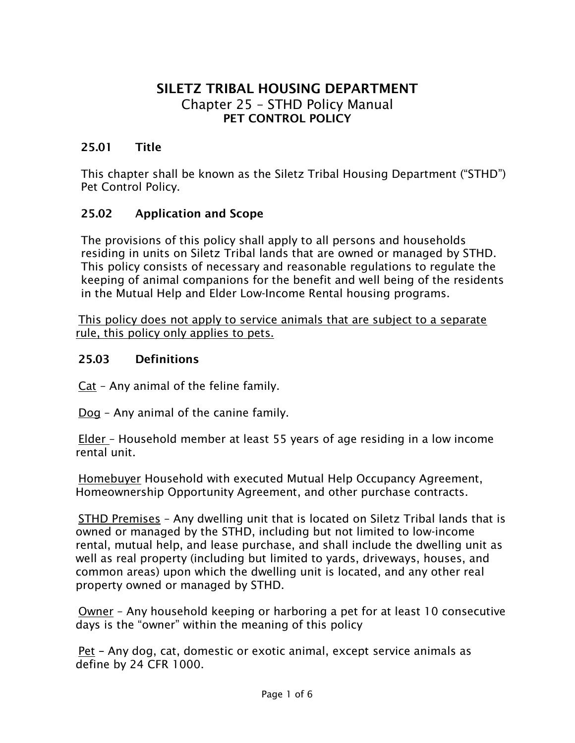# **SILETZ TRIBAL HOUSING DEPARTMENT** Chapter 25 – STHD Policy Manual **PET CONTROL POLICY**

## **25.01 Title**

This chapter shall be known as the Siletz Tribal Housing Department ("STHD") Pet Control Policy.

#### **25.02 Application and Scope**

The provisions of this policy shall apply to all persons and households residing in units on Siletz Tribal lands that are owned or managed by STHD. This policy consists of necessary and reasonable regulations to regulate the keeping of animal companions for the benefit and well being of the residents in the Mutual Help and Elder Low-Income Rental housing programs.

This policy does not apply to service animals that are subject to a separate rule, this policy only applies to pets.

#### **25.03 Definitions**

Cat – Any animal of the feline family.

Dog – Any animal of the canine family.

Elder – Household member at least 55 years of age residing in a low income rental unit.

Homebuyer Household with executed Mutual Help Occupancy Agreement, Homeownership Opportunity Agreement, and other purchase contracts.

STHD Premises – Any dwelling unit that is located on Siletz Tribal lands that is owned or managed by the STHD, including but not limited to low-income rental, mutual help, and lease purchase, and shall include the dwelling unit as well as real property (including but limited to yards, driveways, houses, and common areas) upon which the dwelling unit is located, and any other real property owned or managed by STHD.

Owner – Any household keeping or harboring a pet for at least 10 consecutive days is the "owner" within the meaning of this policy

Pet **–** Any dog, cat, domestic or exotic animal, except service animals as define by 24 CFR 1000.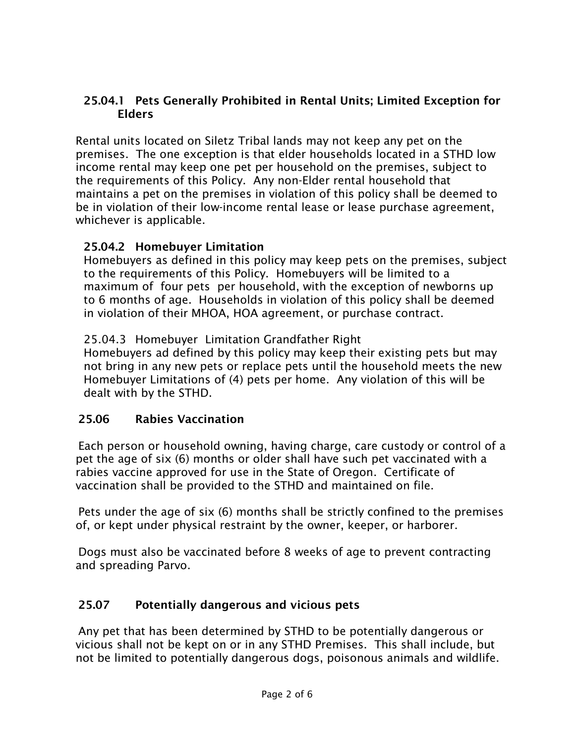## **25.04.1 Pets Generally Prohibited in Rental Units; Limited Exception for Elders**

Rental units located on Siletz Tribal lands may not keep any pet on the premises. The one exception is that elder households located in a STHD low income rental may keep one pet per household on the premises, subject to the requirements of this Policy. Any non-Elder rental household that maintains a pet on the premises in violation of this policy shall be deemed to be in violation of their low-income rental lease or lease purchase agreement, whichever is applicable.

#### **25.04.2 Homebuyer Limitation**

Homebuyers as defined in this policy may keep pets on the premises, subject to the requirements of this Policy. Homebuyers will be limited to a maximum of four pets per household, with the exception of newborns up to 6 months of age. Households in violation of this policy shall be deemed in violation of their MHOA, HOA agreement, or purchase contract.

25.04.3 Homebuyer Limitation Grandfather Right

Homebuyers ad defined by this policy may keep their existing pets but may not bring in any new pets or replace pets until the household meets the new Homebuyer Limitations of (4) pets per home. Any violation of this will be dealt with by the STHD.

## **25.06 Rabies Vaccination**

Each person or household owning, having charge, care custody or control of a pet the age of six (6) months or older shall have such pet vaccinated with a rabies vaccine approved for use in the State of Oregon. Certificate of vaccination shall be provided to the STHD and maintained on file.

Pets under the age of six (6) months shall be strictly confined to the premises of, or kept under physical restraint by the owner, keeper, or harborer.

Dogs must also be vaccinated before 8 weeks of age to prevent contracting and spreading Parvo.

## **25.07 Potentially dangerous and vicious pets**

Any pet that has been determined by STHD to be potentially dangerous or vicious shall not be kept on or in any STHD Premises. This shall include, but not be limited to potentially dangerous dogs, poisonous animals and wildlife.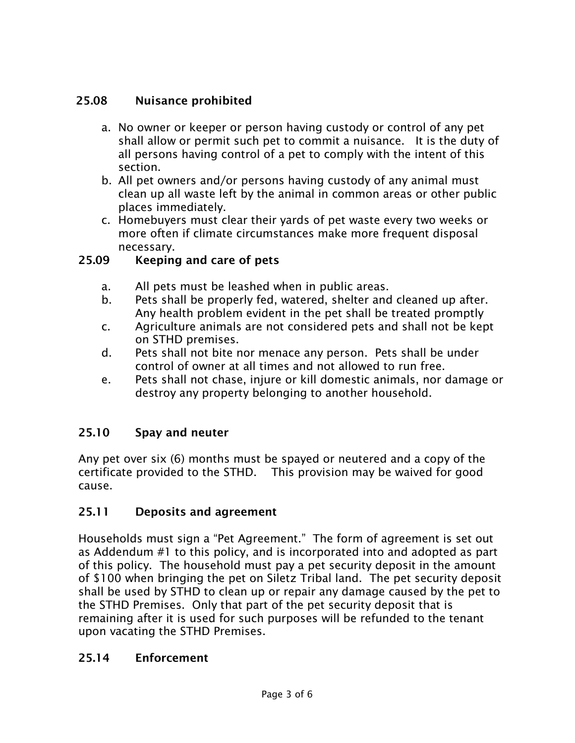# **25.08 Nuisance prohibited**

- a. No owner or keeper or person having custody or control of any pet shall allow or permit such pet to commit a nuisance. It is the duty of all persons having control of a pet to comply with the intent of this section.
- b. All pet owners and/or persons having custody of any animal must clean up all waste left by the animal in common areas or other public places immediately.
- c. Homebuyers must clear their yards of pet waste every two weeks or more often if climate circumstances make more frequent disposal necessary.

## **25.09 Keeping and care of pets**

- a. All pets must be leashed when in public areas.
- b. Pets shall be properly fed, watered, shelter and cleaned up after. Any health problem evident in the pet shall be treated promptly
- c. Agriculture animals are not considered pets and shall not be kept on STHD premises.
- d. Pets shall not bite nor menace any person. Pets shall be under control of owner at all times and not allowed to run free.
- e. Pets shall not chase, injure or kill domestic animals, nor damage or destroy any property belonging to another household.

## **25.10 Spay and neuter**

Any pet over six (6) months must be spayed or neutered and a copy of the certificate provided to the STHD. This provision may be waived for good cause.

## **25.11 Deposits and agreement**

Households must sign a "Pet Agreement." The form of agreement is set out as Addendum #1 to this policy, and is incorporated into and adopted as part of this policy. The household must pay a pet security deposit in the amount of \$100 when bringing the pet on Siletz Tribal land. The pet security deposit shall be used by STHD to clean up or repair any damage caused by the pet to the STHD Premises. Only that part of the pet security deposit that is remaining after it is used for such purposes will be refunded to the tenant upon vacating the STHD Premises.

## **25.14 Enforcement**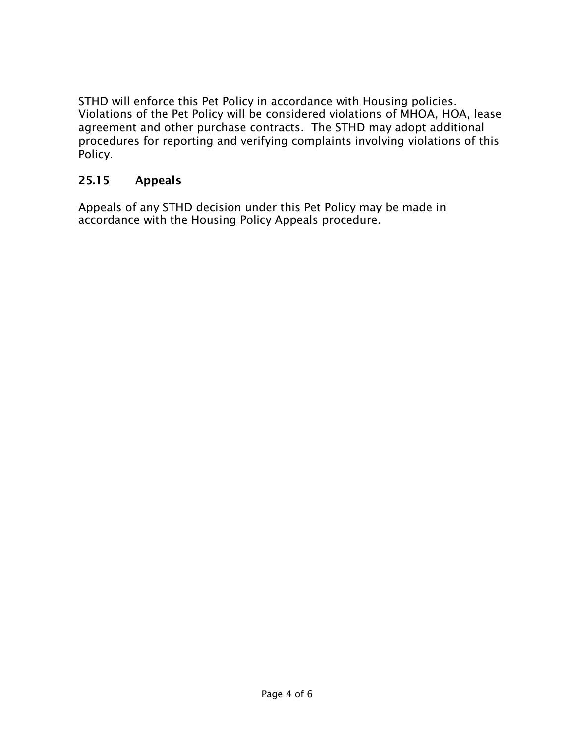STHD will enforce this Pet Policy in accordance with Housing policies. Violations of the Pet Policy will be considered violations of MHOA, HOA, lease agreement and other purchase contracts. The STHD may adopt additional procedures for reporting and verifying complaints involving violations of this Policy.

## **25.15 Appeals**

Appeals of any STHD decision under this Pet Policy may be made in accordance with the Housing Policy Appeals procedure.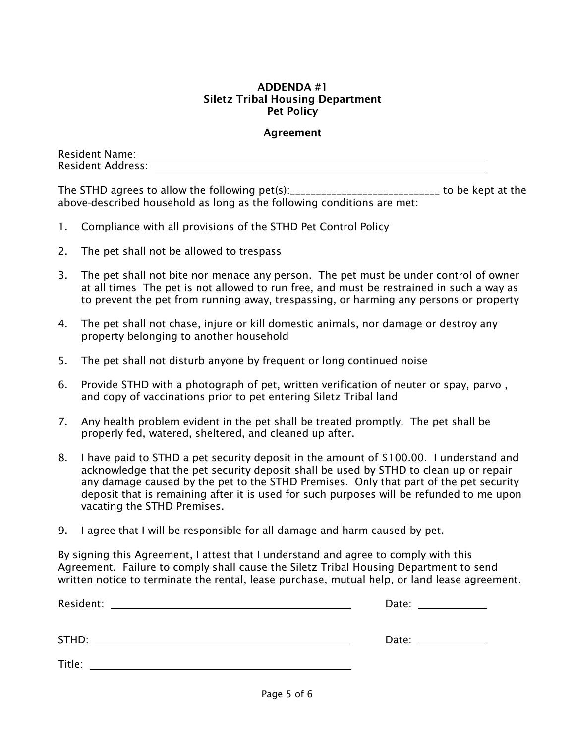#### **ADDENDA #1 Siletz Tribal Housing Department Pet Policy**

#### **Agreement**

| <b>Resident Name:</b>    |  |
|--------------------------|--|
| <b>Resident Address:</b> |  |

The STHD agrees to allow the following pet(s):\_\_\_\_\_\_\_\_\_\_\_\_\_\_\_\_\_\_\_\_\_\_\_\_\_\_\_\_\_ to be kept at the above-described household as long as the following conditions are met:

- 1. Compliance with all provisions of the STHD Pet Control Policy
- 2. The pet shall not be allowed to trespass
- 3. The pet shall not bite nor menace any person. The pet must be under control of owner at all times The pet is not allowed to run free, and must be restrained in such a way as to prevent the pet from running away, trespassing, or harming any persons or property
- 4. The pet shall not chase, injure or kill domestic animals, nor damage or destroy any property belonging to another household
- 5. The pet shall not disturb anyone by frequent or long continued noise
- 6. Provide STHD with a photograph of pet, written verification of neuter or spay, parvo , and copy of vaccinations prior to pet entering Siletz Tribal land
- 7. Any health problem evident in the pet shall be treated promptly. The pet shall be properly fed, watered, sheltered, and cleaned up after.
- 8. I have paid to STHD a pet security deposit in the amount of \$100.00. I understand and acknowledge that the pet security deposit shall be used by STHD to clean up or repair any damage caused by the pet to the STHD Premises. Only that part of the pet security deposit that is remaining after it is used for such purposes will be refunded to me upon vacating the STHD Premises.
- 9. I agree that I will be responsible for all damage and harm caused by pet.

By signing this Agreement, I attest that I understand and agree to comply with this Agreement. Failure to comply shall cause the Siletz Tribal Housing Department to send written notice to terminate the rental, lease purchase, mutual help, or land lease agreement.

| Resident:<br><u> 1989 - Jan Samuel Barbara, margaret eta idazlea (h. 1989).</u> | Date: _______________                                                                                                                                                                                                          |
|---------------------------------------------------------------------------------|--------------------------------------------------------------------------------------------------------------------------------------------------------------------------------------------------------------------------------|
| STHD:                                                                           | Date: the contract of the contract of the contract of the contract of the contract of the contract of the contract of the contract of the contract of the contract of the contract of the contract of the contract of the cont |
| Title:                                                                          |                                                                                                                                                                                                                                |